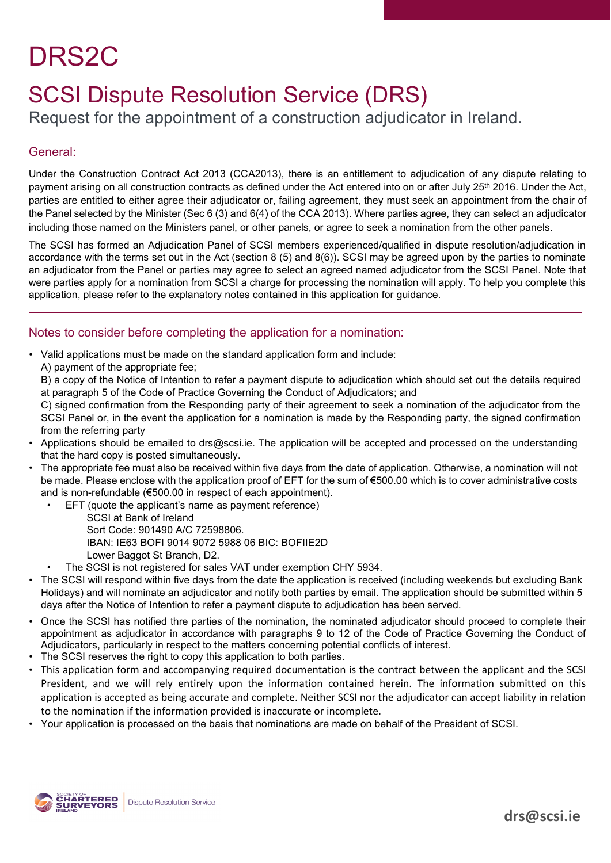# DRS2C

## SCSI Dispute Resolution Service (DRS)

Request for the appointment of a construction adjudicator in Ireland.

### General:

Under the Construction Contract Act 2013 (CCA2013), there is an entitlement to adjudication of any dispute relating to payment arising on all construction contracts as defined under the Act entered into on or after July 25<sup>th</sup> 2016. Under the Act, parties are entitled to either agree their adjudicator or, failing agreement, they must seek an appointment from the chair of the Panel selected by the Minister (Sec 6 (3) and 6(4) of the CCA 2013). Where parties agree, they can select an adjudicator including those named on the Ministers panel, or other panels, or agree to seek a nomination from the other panels.

The SCSI has formed an Adjudication Panel of SCSI members experienced/qualified in dispute resolution/adjudication in accordance with the terms set out in the Act (section 8 (5) and 8(6)). SCSI may be agreed upon by the parties to nominate an adjudicator from the Panel or parties may agree to select an agreed named adjudicator from the SCSI Panel. Note that were parties apply for a nomination from SCSI a charge for processing the nomination will apply. To help you complete this application, please refer to the explanatory notes contained in this application for guidance.

### Notes to consider before completing the application for a nomination:

- Valid applications must be made on the standard application form and include:
	- A) payment of the appropriate fee;

B) a copy of the Notice of Intention to refer a payment dispute to adjudication which should set out the details required at paragraph 5 of the Code of Practice Governing the Conduct of Adjudicators; and

C) signed confirmation from the Responding party of their agreement to seek a nomination of the adjudicator from the SCSI Panel or, in the event the application for a nomination is made by the Responding party, the signed confirmation from the referring party

- Applications should be emailed to drs@scsi.ie. The application will be accepted and processed on the understanding that the hard copy is posted simultaneously.
- The appropriate fee must also be received within five days from the date of application. Otherwise, a nomination will not be made. Please enclose with the application proof of EFT for the sum of €500.00 which is to cover administrative costs and is non-refundable (€500.00 in respect of each appointment).
	- EFT (quote the applicant's name as payment reference)
		- SCSI at Bank of Ireland Sort Code: 901490 A/C 72598806. IBAN: IE63 BOFI 9014 9072 5988 06 BIC: BOFIIE2D Lower Baggot St Branch, D2.
	- The SCSI is not registered for sales VAT under exemption CHY 5934.
- The SCSI will respond within five days from the date the application is received (including weekends but excluding Bank Holidays) and will nominate an adjudicator and notify both parties by email. The application should be submitted within 5 days after the Notice of Intention to refer a payment dispute to adjudication has been served.
- Once the SCSI has notified thre parties of the nomination, the nominated adjudicator should proceed to complete their appointment as adjudicator in accordance with paragraphs 9 to 12 of the Code of Practice Governing the Conduct of Adjudicators, particularly in respect to the matters concerning potential conflicts of interest.
- The SCSI reserves the right to copy this application to both parties.
- This application form and accompanying required documentation is the contract between the applicant and the SCSI President, and we will rely entirely upon the information contained herein. The information submitted on this application is accepted as being accurate and complete. Neither SCSI nor the adjudicator can accept liability in relation to the nomination if the information provided is inaccurate or incomplete.
- Your application is processed on the basis that nominations are made on behalf of the President of SCSI.

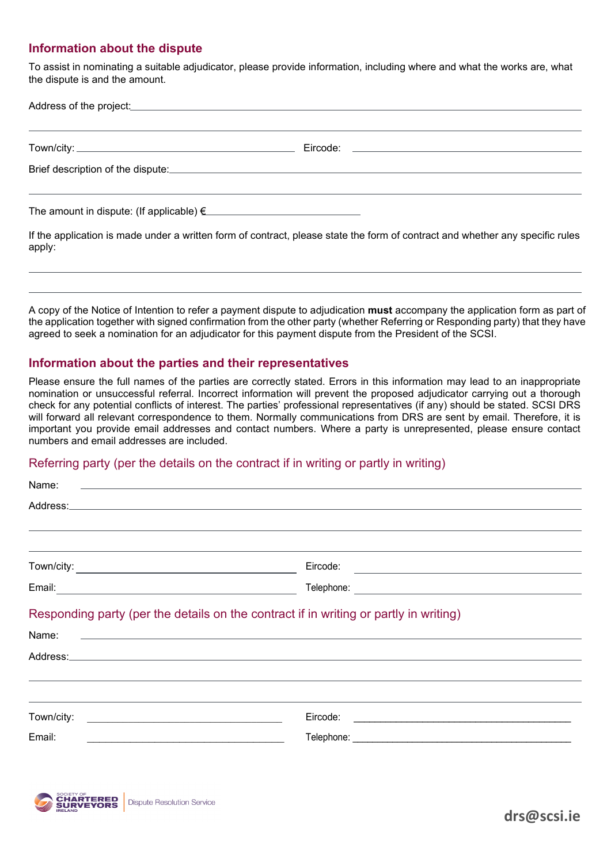### **Information about the dispute**

apply:

To assist in nominating a suitable adjudicator, please provide information, including where and what the works are, what the dispute is and the amount.

| Address of the project: <u>Address of the project:</u> Address of the project: |                                                                                                                               |
|--------------------------------------------------------------------------------|-------------------------------------------------------------------------------------------------------------------------------|
|                                                                                |                                                                                                                               |
|                                                                                |                                                                                                                               |
| The amount in dispute: (If applicable) $\epsilon$                              |                                                                                                                               |
|                                                                                | If the application is made under a written form of contract, please state the form of contract and whether any specific rules |

A copy of the Notice of Intention to refer a payment dispute to adjudication **must** accompany the application form as part of the application together with signed confirmation from the other party (whether Referring or Responding party) that they have agreed to seek a nomination for an adjudicator for this payment dispute from the President of the SCSI.

#### **Information about the parties and their representatives**

Please ensure the full names of the parties are correctly stated. Errors in this information may lead to an inappropriate nomination or unsuccessful referral. Incorrect information will prevent the proposed adjudicator carrying out a thorough check for any potential conflicts of interest. The parties' professional representatives (if any) should be stated. SCSI DRS will forward all relevant correspondence to them. Normally communications from DRS are sent by email. Therefore, it is important you provide email addresses and contact numbers. Where a party is unrepresented, please ensure contact numbers and email addresses are included.

#### Referring party (per the details on the contract if in writing or partly in writing)

| Name:                                                                                                                                                                                                                                              | a sa <u>tanàna amin'ny fivondronan-kaominin'i Australia ao amin'ny faritr'i Nouvelle-A</u> ustralie, ao amin'ny faritr'i                                                                                                                                                                                                      |  |
|----------------------------------------------------------------------------------------------------------------------------------------------------------------------------------------------------------------------------------------------------|-------------------------------------------------------------------------------------------------------------------------------------------------------------------------------------------------------------------------------------------------------------------------------------------------------------------------------|--|
|                                                                                                                                                                                                                                                    |                                                                                                                                                                                                                                                                                                                               |  |
| <u> 1989 - Johann Stoff, deutscher Stoffen und der Stoffen und der Stoffen und der Stoffen und der Stoffen und der</u>                                                                                                                             |                                                                                                                                                                                                                                                                                                                               |  |
|                                                                                                                                                                                                                                                    |                                                                                                                                                                                                                                                                                                                               |  |
|                                                                                                                                                                                                                                                    |                                                                                                                                                                                                                                                                                                                               |  |
|                                                                                                                                                                                                                                                    |                                                                                                                                                                                                                                                                                                                               |  |
|                                                                                                                                                                                                                                                    | Responding party (per the details on the contract if in writing or partly in writing)<br>Name: <u>example and the second contract of the second contract of the second contract of the second contract of the second contract of the second contract of the second contract of the second contract of the second contract</u> |  |
|                                                                                                                                                                                                                                                    | <u> 1999 - Andrea Santana, amerikana amerikana amerikana amerikana amerikana amerikana amerikana amerikana amerika</u>                                                                                                                                                                                                        |  |
| Town/city:<br><u> 1990 - Johann Harry Harry Harry Harry Harry Harry Harry Harry Harry Harry Harry Harry Harry Harry Harry Harry Harry Harry Harry Harry Harry Harry Harry Harry Harry Harry Harry Harry Harry Harry Harry Harry Harry Harry Ha</u> |                                                                                                                                                                                                                                                                                                                               |  |
| Email:<br>the control of the control of the control of the control of the control of the control of                                                                                                                                                |                                                                                                                                                                                                                                                                                                                               |  |

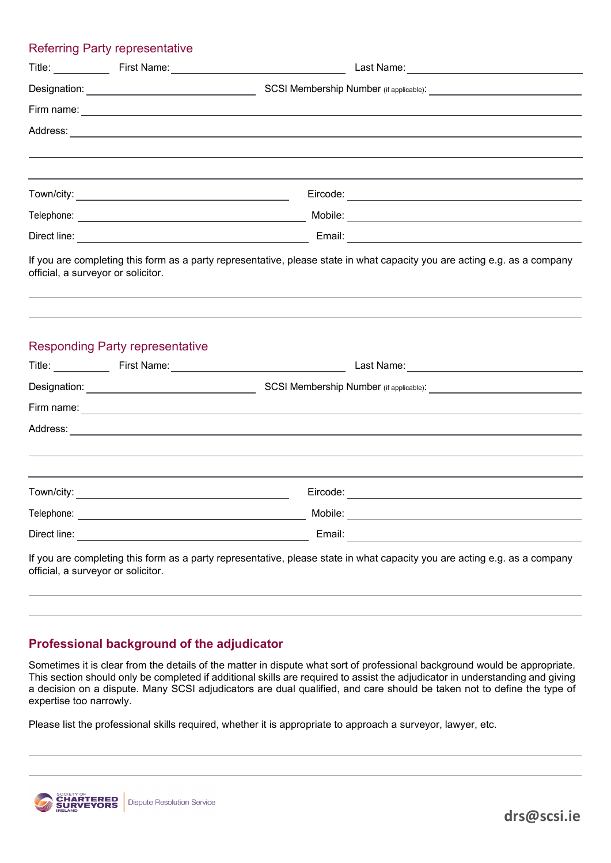# Referring Party representative Title: First Name: Last Name: Designation: SCSI Membership Number (if applicable): Firm name: Address: Town/city: Eircode: Telephone: Mobile: Direct line: Email: If you are completing this form as a party representative, please state in what capacity you are acting e.g. as a company official, a surveyor or solicitor. Responding Party representative Title: First Name: Last Name: Designation: SCSI Membership Number (if applicable): Firm name: Address: Town/city: example and the contract of the contract of the Eircode: Eircode: Eircode: Telephone: Mobile: Direct line: Email: If you are completing this form as a party representative, please state in what capacity you are acting e.g. as a company official, a surveyor or solicitor.

### **Professional background of the adjudicator**

Sometimes it is clear from the details of the matter in dispute what sort of professional background would be appropriate. This section should only be completed if additional skills are required to assist the adjudicator in understanding and giving a decision on a dispute. Many SCSI adjudicators are dual qualified, and care should be taken not to define the type of expertise too narrowly.

Please list the professional skills required, whether it is appropriate to approach a surveyor, lawyer, etc.



**drs@scsi.ie**